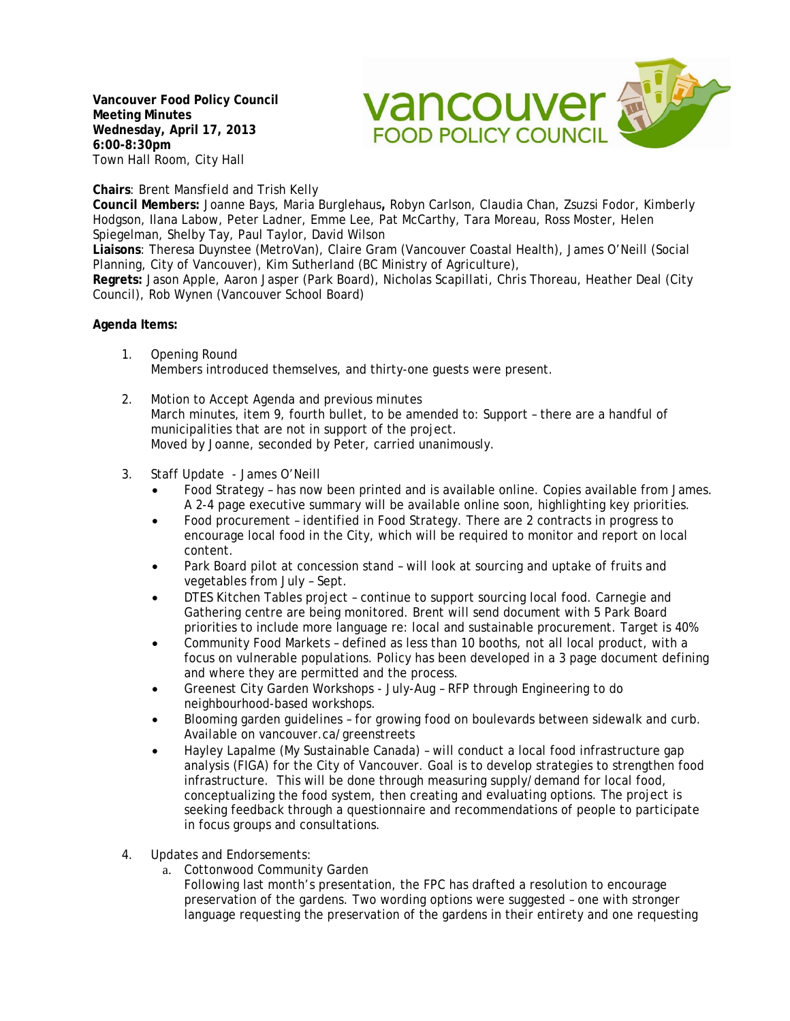**Vancouver Food Policy Council Meeting Minutes Wednesday, April 17, 2013 6:00-8:30pm**  Town Hall Room, City Hall



**Chairs**: Brent Mansfield and Trish Kelly

**Council Members:** Joanne Bays, Maria Burglehaus**,** Robyn Carlson, Claudia Chan, Zsuzsi Fodor, Kimberly Hodgson, Ilana Labow, Peter Ladner, Emme Lee, Pat McCarthy, Tara Moreau, Ross Moster, Helen Spiegelman, Shelby Tay, Paul Taylor, David Wilson

**Liaisons**: Theresa Duynstee (MetroVan), Claire Gram (Vancouver Coastal Health), James O'Neill (Social Planning, City of Vancouver), Kim Sutherland (BC Ministry of Agriculture),

**Regrets:** Jason Apple, Aaron Jasper (Park Board), Nicholas Scapillati, Chris Thoreau, Heather Deal (City Council), Rob Wynen (Vancouver School Board)

## **Agenda Items:**

- 1. Opening Round Members introduced themselves, and thirty-one guests were present.
- 2. Motion to Accept Agenda and previous minutes March minutes, item 9, fourth bullet, to be amended to: Support – there are a handful of municipalities that are not in support of the project. Moved by Joanne, seconded by Peter, carried unanimously.
- 3. Staff Update James O'Neill
	- Food Strategy has now been printed and is available online. Copies available from James. A 2-4 page executive summary will be available online soon, highlighting key priorities.
	- Food procurement identified in Food Strategy. There are 2 contracts in progress to encourage local food in the City, which will be required to monitor and report on local content.
	- Park Board pilot at concession stand will look at sourcing and uptake of fruits and vegetables from July – Sept.
	- DTES Kitchen Tables project continue to support sourcing local food. Carnegie and Gathering centre are being monitored. Brent will send document with 5 Park Board priorities to include more language re: local and sustainable procurement. Target is 40%
	- Community Food Markets defined as less than 10 booths, not all local product, with a focus on vulnerable populations. Policy has been developed in a 3 page document defining and where they are permitted and the process.
	- Greenest City Garden Workshops July-Aug RFP through Engineering to do neighbourhood-based workshops.
	- Blooming garden guidelines for growing food on boulevards between sidewalk and curb. Available on vancouver.ca/greenstreets
	- Hayley Lapalme (My Sustainable Canada) will conduct a local food infrastructure gap analysis (FIGA) for the City of Vancouver. Goal is to develop strategies to strengthen food infrastructure. This will be done through measuring supply/demand for local food, conceptualizing the food system, then creating and evaluating options. The project is seeking feedback through a questionnaire and recommendations of people to participate in focus groups and consultations.
- 4. Updates and Endorsements:
	- a. Cottonwood Community Garden
		- Following last month's presentation, the FPC has drafted a resolution to encourage preservation of the gardens. Two wording options were suggested – one with stronger language requesting the preservation of the gardens in their entirety and one requesting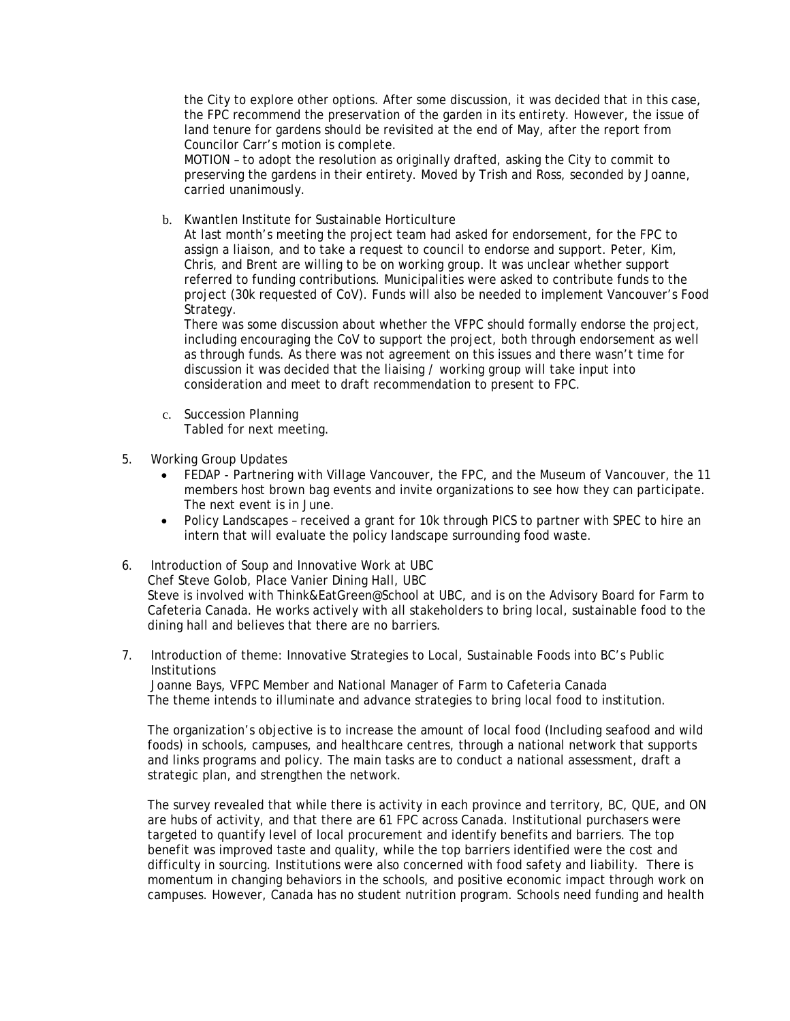the City to explore other options. After some discussion, it was decided that in this case, the FPC recommend the preservation of the garden in its entirety. However, the issue of land tenure for gardens should be revisited at the end of May, after the report from Councilor Carr's motion is complete.

MOTION – to adopt the resolution as originally drafted, asking the City to commit to preserving the gardens in their entirety. Moved by Trish and Ross, seconded by Joanne, carried unanimously.

b. Kwantlen Institute for Sustainable Horticulture

At last month's meeting the project team had asked for endorsement, for the FPC to assign a liaison, and to take a request to council to endorse and support. Peter, Kim, Chris, and Brent are willing to be on working group. It was unclear whether support referred to funding contributions. Municipalities were asked to contribute funds to the project (30k requested of CoV). Funds will also be needed to implement Vancouver's Food Strategy.

There was some discussion about whether the VFPC should formally endorse the project, including encouraging the CoV to support the project, both through endorsement as well as through funds. As there was not agreement on this issues and there wasn't time for discussion it was decided that the liaising / working group will take input into consideration and meet to draft recommendation to present to FPC.

- c. Succession Planning Tabled for next meeting.
- 5. Working Group Updates
	- FEDAP Partnering with Village Vancouver, the FPC, and the Museum of Vancouver, the 11 members host brown bag events and invite organizations to see how they can participate. The next event is in June.
	- Policy Landscapes received a grant for 10k through PICS to partner with SPEC to hire an intern that will evaluate the policy landscape surrounding food waste.
- 6. Introduction of Soup and Innovative Work at UBC

Chef Steve Golob, Place Vanier Dining Hall, UBC

Steve is involved with Think&EatGreen@School at UBC, and is on the Advisory Board for Farm to Cafeteria Canada. He works actively with all stakeholders to bring local, sustainable food to the dining hall and believes that there are no barriers.

7. Introduction of theme: Innovative Strategies to Local, Sustainable Foods into BC's Public **Institutions** 

 Joanne Bays, VFPC Member and National Manager of Farm to Cafeteria Canada The theme intends to illuminate and advance strategies to bring local food to institution.

The organization's objective is to increase the amount of local food (Including seafood and wild foods) in schools, campuses, and healthcare centres, through a national network that supports and links programs and policy. The main tasks are to conduct a national assessment, draft a strategic plan, and strengthen the network.

The survey revealed that while there is activity in each province and territory, BC, QUE, and ON are hubs of activity, and that there are 61 FPC across Canada. Institutional purchasers were targeted to quantify level of local procurement and identify benefits and barriers. The top benefit was improved taste and quality, while the top barriers identified were the cost and difficulty in sourcing. Institutions were also concerned with food safety and liability. There is momentum in changing behaviors in the schools, and positive economic impact through work on campuses. However, Canada has no student nutrition program. Schools need funding and health